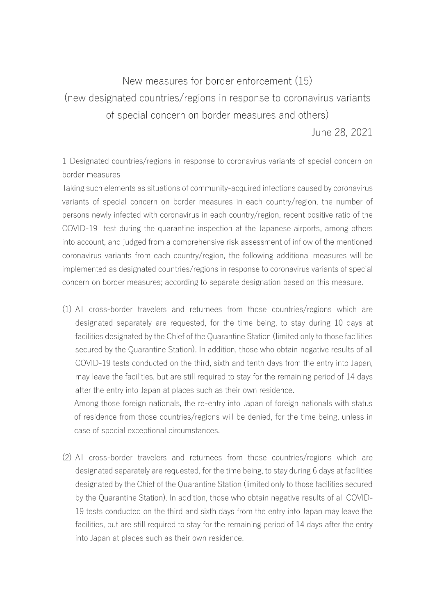## New measures for border enforcement (15) (new designated countries/regions in response to coronavirus variants of special concern on border measures and others)

June 28, 2021

1 Designated countries/regions in response to coronavirus variants of special concern on border measures

Taking such elements as situations of community-acquired infections caused by coronavirus variants of special concern on border measures in each country/region, the number of persons newly infected with coronavirus in each country/region, recent positive ratio of the COVID-19 test during the quarantine inspection at the Japanese airports, among others into account, and judged from a comprehensive risk assessment of inflow of the mentioned coronavirus variants from each country/region, the following additional measures will be implemented as designated countries/regions in response to coronavirus variants of special concern on border measures; according to separate designation based on this measure.

(1) All cross-border travelers and returnees from those countries/regions which are designated separately are requested, for the time being, to stay during 10 days at facilities designated by the Chief of the Quarantine Station (limited only to those facilities secured by the Quarantine Station). In addition, those who obtain negative results of all COVID-19 tests conducted on the third, sixth and tenth days from the entry into Japan, may leave the facilities, but are still required to stay for the remaining period of 14 days after the entry into Japan at places such as their own residence.

Among those foreign nationals, the re-entry into Japan of foreign nationals with status of residence from those countries/regions will be denied, for the time being, unless in case of special exceptional circumstances.

(2) All cross-border travelers and returnees from those countries/regions which are designated separately are requested, for the time being, to stay during 6 days at facilities designated by the Chief of the Quarantine Station (limited only to those facilities secured by the Quarantine Station). In addition, those who obtain negative results of all COVID-19 tests conducted on the third and sixth days from the entry into Japan may leave the facilities, but are still required to stay for the remaining period of 14 days after the entry into Japan at places such as their own residence.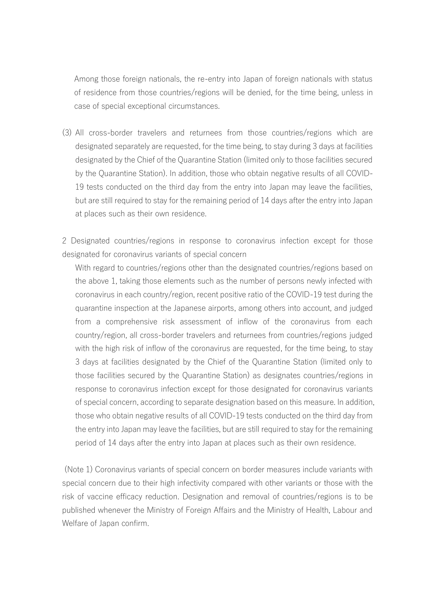Among those foreign nationals, the re-entry into Japan of foreign nationals with status of residence from those countries/regions will be denied, for the time being, unless in case of special exceptional circumstances.

(3) All cross-border travelers and returnees from those countries/regions which are designated separately are requested, for the time being, to stay during 3 days at facilities designated by the Chief of the Quarantine Station (limited only to those facilities secured by the Quarantine Station). In addition, those who obtain negative results of all COVID-19 tests conducted on the third day from the entry into Japan may leave the facilities, but are still required to stay for the remaining period of 14 days after the entry into Japan at places such as their own residence.

2 Designated countries/regions in response to coronavirus infection except for those designated for coronavirus variants of special concern

With regard to countries/regions other than the designated countries/regions based on the above 1, taking those elements such as the number of persons newly infected with coronavirus in each country/region, recent positive ratio of the COVID-19 test during the quarantine inspection at the Japanese airports, among others into account, and judged from a comprehensive risk assessment of inflow of the coronavirus from each country/region, all cross-border travelers and returnees from countries/regions judged with the high risk of inflow of the coronavirus are requested, for the time being, to stay 3 days at facilities designated by the Chief of the Quarantine Station (limited only to those facilities secured by the Quarantine Station) as designates countries/regions in response to coronavirus infection except for those designated for coronavirus variants of special concern, according to separate designation based on this measure. In addition, those who obtain negative results of all COVID-19 tests conducted on the third day from the entry into Japan may leave the facilities, but are still required to stay for the remaining period of 14 days after the entry into Japan at places such as their own residence.

(Note 1) Coronavirus variants of special concern on border measures include variants with special concern due to their high infectivity compared with other variants or those with the risk of vaccine efficacy reduction. Designation and removal of countries/regions is to be published whenever the Ministry of Foreign Affairs and the Ministry of Health, Labour and Welfare of Japan confirm.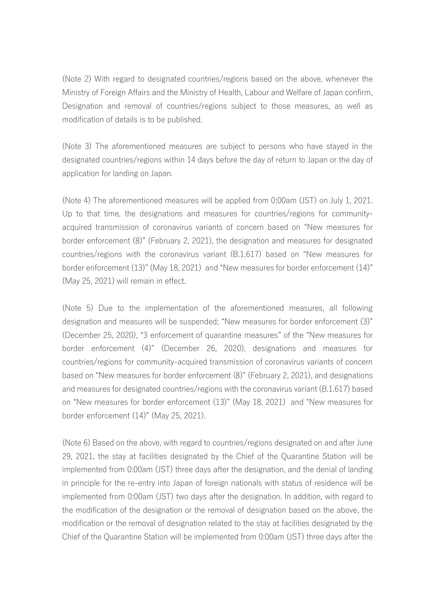(Note 2) With regard to designated countries/regions based on the above, whenever the Ministry of Foreign Affairs and the Ministry of Health, Labour and Welfare of Japan confirm, Designation and removal of countries/regions subject to those measures, as well as modification of details is to be published.

(Note 3) The aforementioned measures are subject to persons who have stayed in the designated countries/regions within 14 days before the day of return to Japan or the day of application for landing on Japan.

(Note 4) The aforementioned measures will be applied from 0:00am (JST) on July 1, 2021. Up to that time, the designations and measures for countries/regions for communityacquired transmission of coronavirus variants of concern based on "New measures for border enforcement (8)" (February 2, 2021), the designation and measures for designated countries/regions with the coronavirus variant (B.1.617) based on "New measures for border enforcement (13)" (May 18, 2021) and "New measures for border enforcement (14)" (May 25, 2021) will remain in effect.

(Note 5) Due to the implementation of the aforementioned measures, all following designation and measures will be suspended; "New measures for border enforcement (3)" (December 25, 2020), "3 enforcement of quarantine measures" of the "New measures for border enforcement (4)" (December 26, 2020), designations and measures for countries/regions for community-acquired transmission of coronavirus variants of concern based on "New measures for border enforcement (8)" (February 2, 2021), and designations and measures for designated countries/regions with the coronavirus variant (B.1.617) based on "New measures for border enforcement (13)" (May 18, 2021) and "New measures for border enforcement (14)" (May 25, 2021).

(Note 6) Based on the above, with regard to countries/regions designated on and after June 29, 2021, the stay at facilities designated by the Chief of the Quarantine Station will be implemented from 0:00am (JST) three days after the designation, and the denial of landing in principle for the re-entry into Japan of foreign nationals with status of residence will be implemented from 0:00am (JST) two days after the designation. In addition, with regard to the modification of the designation or the removal of designation based on the above, the modification or the removal of designation related to the stay at facilities designated by the Chief of the Quarantine Station will be implemented from 0:00am (JST) three days after the